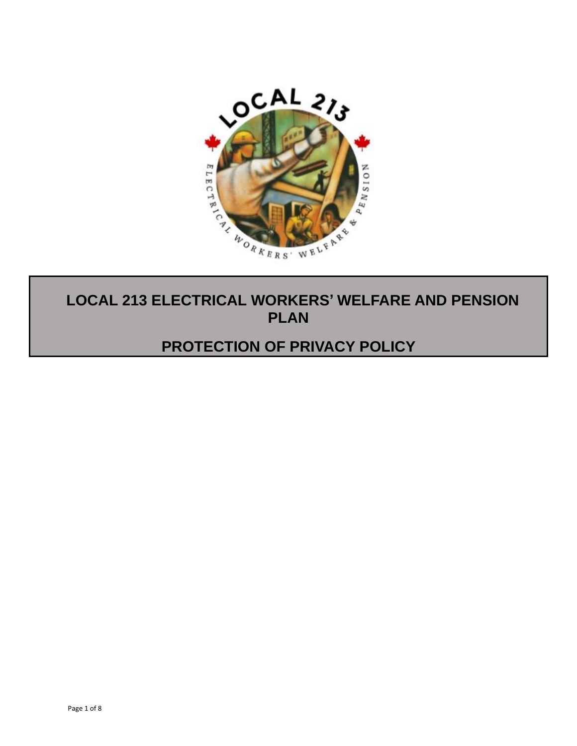

# **PLAN**

# **PROTECTION OF PRIVACY POLICY**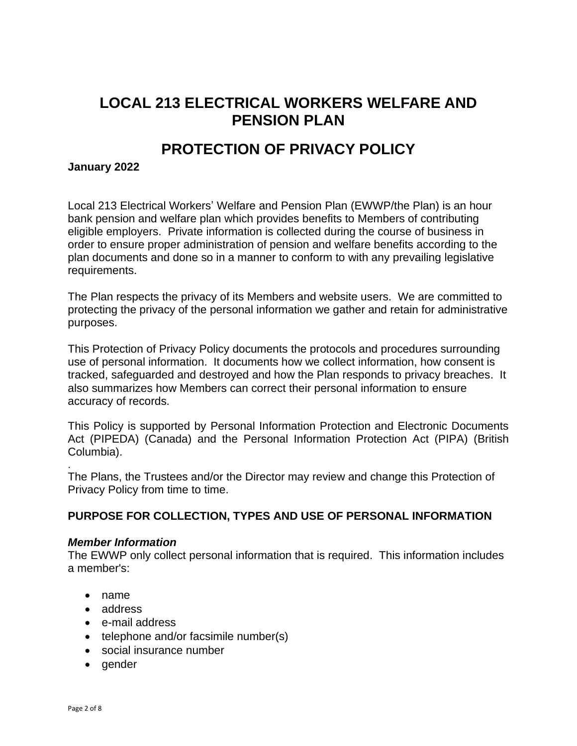# **LOCAL 213 ELECTRICAL WORKERS WELFARE AND PENSION PLAN**

# **PROTECTION OF PRIVACY POLICY**

#### **January 2022**

Local 213 Electrical Workers' Welfare and Pension Plan (EWWP/the Plan) is an hour bank pension and welfare plan which provides benefits to Members of contributing eligible employers. Private information is collected during the course of business in order to ensure proper administration of pension and welfare benefits according to the plan documents and done so in a manner to conform to with any prevailing legislative requirements.

The Plan respects the privacy of its Members and website users. We are committed to protecting the privacy of the personal information we gather and retain for administrative purposes.

This Protection of Privacy Policy documents the protocols and procedures surrounding use of personal information. It documents how we collect information, how consent is tracked, safeguarded and destroyed and how the Plan responds to privacy breaches. It also summarizes how Members can correct their personal information to ensure accuracy of records.

This Policy is supported by Personal Information Protection and Electronic Documents Act (PIPEDA) (Canada) and the Personal Information Protection Act (PIPA) (British Columbia).

The Plans, the Trustees and/or the Director may review and change this Protection of Privacy Policy from time to time.

# **PURPOSE FOR COLLECTION, TYPES AND USE OF PERSONAL INFORMATION**

#### *Member Information*

The EWWP only collect personal information that is required. This information includes a member's:

- name
- address
- e-mail address
- telephone and/or facsimile number(s)
- social insurance number
- gender

.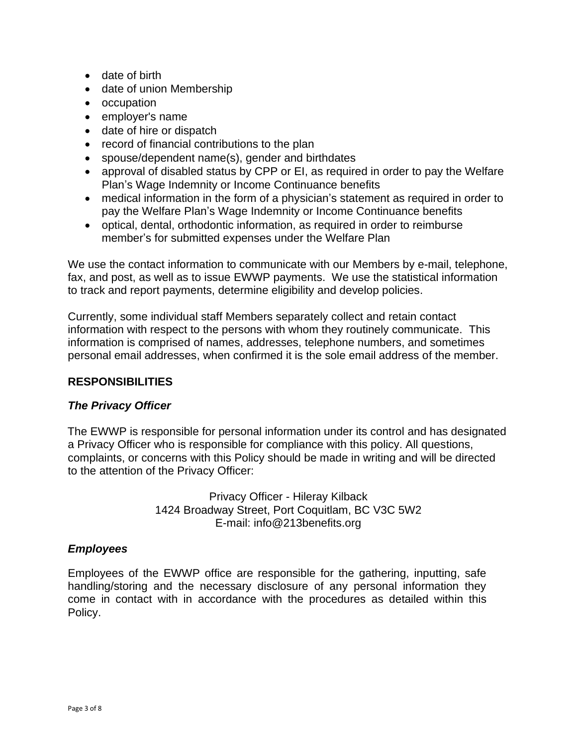- date of birth
- date of union Membership
- occupation
- employer's name
- date of hire or dispatch
- record of financial contributions to the plan
- spouse/dependent name(s), gender and birthdates
- approval of disabled status by CPP or EI, as required in order to pay the Welfare Plan's Wage Indemnity or Income Continuance benefits
- medical information in the form of a physician's statement as required in order to pay the Welfare Plan's Wage Indemnity or Income Continuance benefits
- optical, dental, orthodontic information, as required in order to reimburse member's for submitted expenses under the Welfare Plan

We use the contact information to communicate with our Members by e-mail, telephone, fax, and post, as well as to issue EWWP payments. We use the statistical information to track and report payments, determine eligibility and develop policies.

Currently, some individual staff Members separately collect and retain contact information with respect to the persons with whom they routinely communicate. This information is comprised of names, addresses, telephone numbers, and sometimes personal email addresses, when confirmed it is the sole email address of the member.

# **RESPONSIBILITIES**

# *The Privacy Officer*

The EWWP is responsible for personal information under its control and has designated a Privacy Officer who is responsible for compliance with this policy. All questions, complaints, or concerns with this Policy should be made in writing and will be directed to the attention of the Privacy Officer:

> Privacy Officer - Hileray Kilback 1424 Broadway Street, Port Coquitlam, BC V3C 5W2 E-mail: info@213benefits.org

# *Employees*

Employees of the EWWP office are responsible for the gathering, inputting, safe handling/storing and the necessary disclosure of any personal information they come in contact with in accordance with the procedures as detailed within this Policy.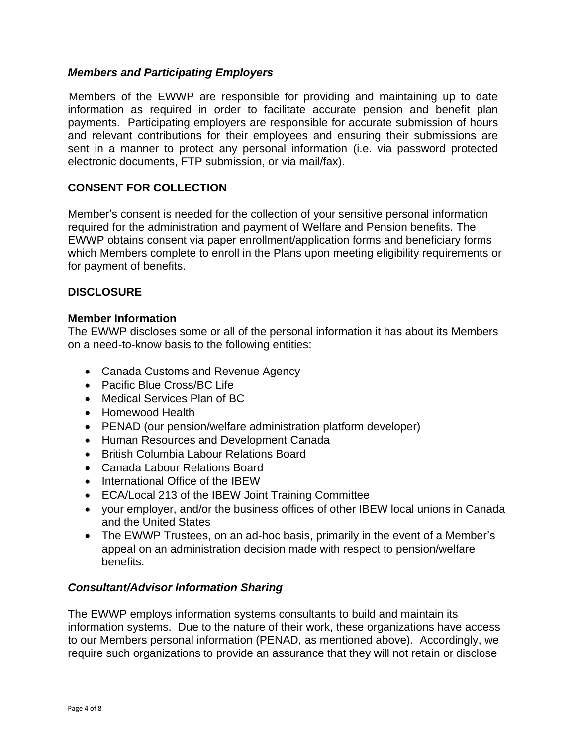# *Members and Participating Employers*

Members of the EWWP are responsible for providing and maintaining up to date information as required in order to facilitate accurate pension and benefit plan payments. Participating employers are responsible for accurate submission of hours and relevant contributions for their employees and ensuring their submissions are sent in a manner to protect any personal information (i.e. via password protected electronic documents, FTP submission, or via mail/fax).

# **CONSENT FOR COLLECTION**

Member's consent is needed for the collection of your sensitive personal information required for the administration and payment of Welfare and Pension benefits. The EWWP obtains consent via paper enrollment/application forms and beneficiary forms which Members complete to enroll in the Plans upon meeting eligibility requirements or for payment of benefits.

# **DISCLOSURE**

#### **Member Information**

The EWWP discloses some or all of the personal information it has about its Members on a need-to-know basis to the following entities:

- Canada Customs and Revenue Agency
- Pacific Blue Cross/BC Life
- Medical Services Plan of BC
- Homewood Health
- PENAD (our pension/welfare administration platform developer)
- Human Resources and Development Canada
- British Columbia Labour Relations Board
- Canada Labour Relations Board
- International Office of the IBEW
- ECA/Local 213 of the IBEW Joint Training Committee
- your employer, and/or the business offices of other IBEW local unions in Canada and the United States
- The EWWP Trustees, on an ad-hoc basis, primarily in the event of a Member's appeal on an administration decision made with respect to pension/welfare benefits.

# *Consultant/Advisor Information Sharing*

The EWWP employs information systems consultants to build and maintain its information systems. Due to the nature of their work, these organizations have access to our Members personal information (PENAD, as mentioned above). Accordingly, we require such organizations to provide an assurance that they will not retain or disclose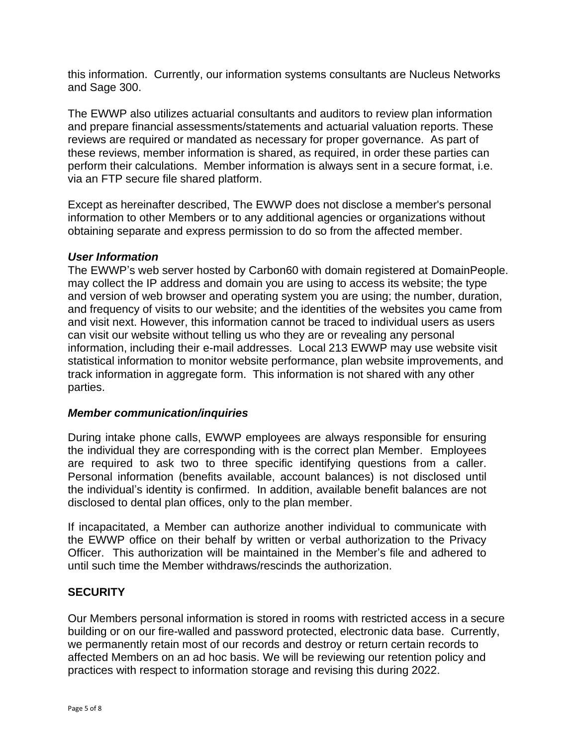this information. Currently, our information systems consultants are Nucleus Networks and Sage 300.

The EWWP also utilizes actuarial consultants and auditors to review plan information and prepare financial assessments/statements and actuarial valuation reports. These reviews are required or mandated as necessary for proper governance. As part of these reviews, member information is shared, as required, in order these parties can perform their calculations. Member information is always sent in a secure format, i.e. via an FTP secure file shared platform.

Except as hereinafter described, The EWWP does not disclose a member's personal information to other Members or to any additional agencies or organizations without obtaining separate and express permission to do so from the affected member.

#### *User Information*

The EWWP's web server hosted by Carbon60 with domain registered at DomainPeople. may collect the IP address and domain you are using to access its website; the type and version of web browser and operating system you are using; the number, duration, and frequency of visits to our website; and the identities of the websites you came from and visit next. However, this information cannot be traced to individual users as users can visit our website without telling us who they are or revealing any personal information, including their e-mail addresses. Local 213 EWWP may use website visit statistical information to monitor website performance, plan website improvements, and track information in aggregate form. This information is not shared with any other parties.

#### *Member communication/inquiries*

During intake phone calls, EWWP employees are always responsible for ensuring the individual they are corresponding with is the correct plan Member. Employees are required to ask two to three specific identifying questions from a caller. Personal information (benefits available, account balances) is not disclosed until the individual's identity is confirmed. In addition, available benefit balances are not disclosed to dental plan offices, only to the plan member.

If incapacitated, a Member can authorize another individual to communicate with the EWWP office on their behalf by written or verbal authorization to the Privacy Officer. This authorization will be maintained in the Member's file and adhered to until such time the Member withdraws/rescinds the authorization.

# **SECURITY**

Our Members personal information is stored in rooms with restricted access in a secure building or on our fire-walled and password protected, electronic data base. Currently, we permanently retain most of our records and destroy or return certain records to affected Members on an ad hoc basis. We will be reviewing our retention policy and practices with respect to information storage and revising this during 2022.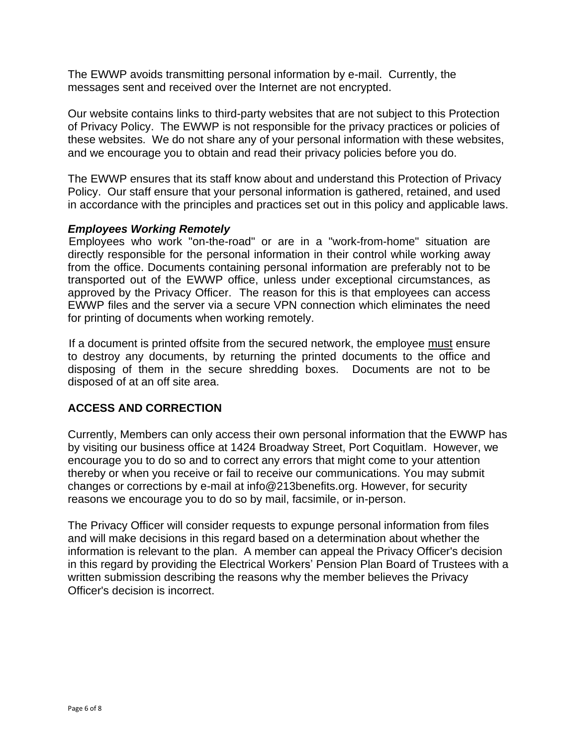The EWWP avoids transmitting personal information by e-mail. Currently, the messages sent and received over the Internet are not encrypted.

Our website contains links to third-party websites that are not subject to this Protection of Privacy Policy. The EWWP is not responsible for the privacy practices or policies of these websites. We do not share any of your personal information with these websites, and we encourage you to obtain and read their privacy policies before you do.

The EWWP ensures that its staff know about and understand this Protection of Privacy Policy. Our staff ensure that your personal information is gathered, retained, and used in accordance with the principles and practices set out in this policy and applicable laws.

# *Employees Working Remotely*

Employees who work "on-the-road" or are in a "work-from-home" situation are directly responsible for the personal information in their control while working away from the office. Documents containing personal information are preferably not to be transported out of the EWWP office, unless under exceptional circumstances, as approved by the Privacy Officer. The reason for this is that employees can access EWWP files and the server via a secure VPN connection which eliminates the need for printing of documents when working remotely.

If a document is printed offsite from the secured network, the employee must ensure to destroy any documents, by returning the printed documents to the office and disposing of them in the secure shredding boxes. Documents are not to be disposed of at an off site area.

# **ACCESS AND CORRECTION**

Currently, Members can only access their own personal information that the EWWP has by visiting our business office at 1424 Broadway Street, Port Coquitlam. However, we encourage you to do so and to correct any errors that might come to your attention thereby or when you receive or fail to receive our communications. You may submit changes or corrections by e-mail at info@213benefits.org. However, for security reasons we encourage you to do so by mail, facsimile, or in-person.

The Privacy Officer will consider requests to expunge personal information from files and will make decisions in this regard based on a determination about whether the information is relevant to the plan. A member can appeal the Privacy Officer's decision in this regard by providing the Electrical Workers' Pension Plan Board of Trustees with a written submission describing the reasons why the member believes the Privacy Officer's decision is incorrect.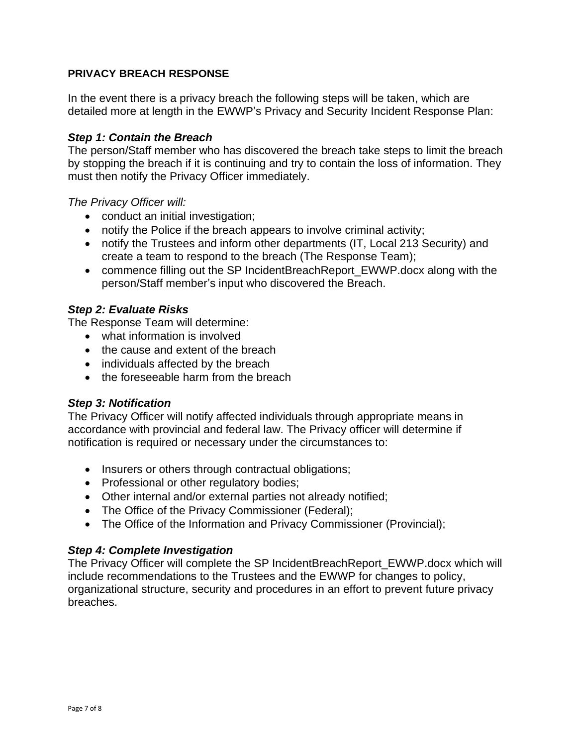#### **PRIVACY BREACH RESPONSE**

In the event there is a privacy breach the following steps will be taken, which are detailed more at length in the EWWP's Privacy and Security Incident Response Plan:

#### *Step 1: Contain the Breach*

The person/Staff member who has discovered the breach take steps to limit the breach by stopping the breach if it is continuing and try to contain the loss of information. They must then notify the Privacy Officer immediately.

*The Privacy Officer will:*

- conduct an initial investigation;
- notify the Police if the breach appears to involve criminal activity;
- notify the Trustees and inform other departments (IT, Local 213 Security) and create a team to respond to the breach (The Response Team);
- commence filling out the SP IncidentBreachReport\_EWWP.docx along with the person/Staff member's input who discovered the Breach.

#### *Step 2: Evaluate Risks*

The Response Team will determine:

- what information is involved
- the cause and extent of the breach
- individuals affected by the breach
- the foreseeable harm from the breach

#### *Step 3: Notification*

The Privacy Officer will notify affected individuals through appropriate means in accordance with provincial and federal law. The Privacy officer will determine if notification is required or necessary under the circumstances to:

- Insurers or others through contractual obligations;
- Professional or other regulatory bodies;
- Other internal and/or external parties not already notified;
- The Office of the Privacy Commissioner (Federal);
- The Office of the Information and Privacy Commissioner (Provincial);

#### *Step 4: Complete Investigation*

The Privacy Officer will complete the SP IncidentBreachReport\_EWWP.docx which will include recommendations to the Trustees and the EWWP for changes to policy, organizational structure, security and procedures in an effort to prevent future privacy breaches.